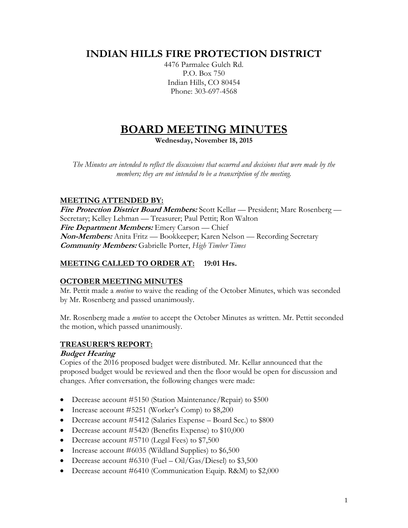# **INDIAN HILLS FIRE PROTECTION DISTRICT**

4476 Parmalee Gulch Rd. P.O. Box 750 Indian Hills, CO 80454 Phone: 303-697-4568

# **BOARD MEETING MINUTES**

**Wednesday, November 18, 2015**

*The Minutes are intended to reflect the discussions that occurred and decisions that were made by the members; they are not intended to be a transcription of the meeting.*

# **MEETING ATTENDED BY:**

**Fire Protection District Board Members:** Scott Kellar — President; Marc Rosenberg — Secretary; Kelley Lehman — Treasurer; Paul Pettit; Ron Walton **Fire Department Members:** Emery Carson — Chief **Non-Members:** Anita Fritz — Bookkeeper; Karen Nelson — Recording Secretary **Community Members:** Gabrielle Porter, *High Timber Times*

# **MEETING CALLED TO ORDER AT: 19:01 Hrs.**

# **OCTOBER MEETING MINUTES**

Mr. Pettit made a *motion* to waive the reading of the October Minutes, which was seconded by Mr. Rosenberg and passed unanimously.

Mr. Rosenberg made a *motion* to accept the October Minutes as written. Mr. Pettit seconded the motion, which passed unanimously.

# **TREASURER'S REPORT:**

# **Budget Hearing**

Copies of the 2016 proposed budget were distributed. Mr. Kellar announced that the proposed budget would be reviewed and then the floor would be open for discussion and changes. After conversation, the following changes were made:

- Decrease account #5150 (Station Maintenance/Repair) to \$500
- Increase account #5251 (Worker's Comp) to \$8,200
- Decrease account #5412 (Salaries Expense Board Sec.) to \$800
- Decrease account #5420 (Benefits Expense) to \$10,000
- Decrease account #5710 (Legal Fees) to \$7,500
- Increase account #6035 (Wildland Supplies) to \$6,500
- Decrease account #6310 (Fuel Oil/Gas/Diesel) to  $$3,500$
- Decrease account #6410 (Communication Equip. R&M) to \$2,000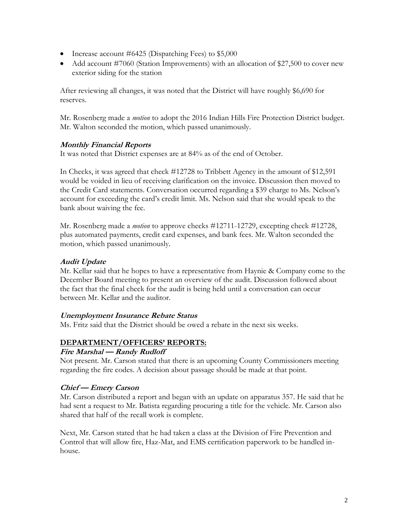- Increase account  $\#6425$  (Dispatching Fees) to \$5,000
- Add account #7060 (Station Improvements) with an allocation of \$27,500 to cover new exterior siding for the station

After reviewing all changes, it was noted that the District will have roughly \$6,690 for reserves.

Mr. Rosenberg made a *motion* to adopt the 2016 Indian Hills Fire Protection District budget. Mr. Walton seconded the motion, which passed unanimously.

# **Monthly Financial Reports**

It was noted that District expenses are at 84% as of the end of October.

In Checks, it was agreed that check #12728 to Tribbett Agency in the amount of \$12,591 would be voided in lieu of receiving clarification on the invoice. Discussion then moved to the Credit Card statements. Conversation occurred regarding a \$39 charge to Ms. Nelson's account for exceeding the card's credit limit. Ms. Nelson said that she would speak to the bank about waiving the fee.

Mr. Rosenberg made a *motion* to approve checks #12711-12729, excepting check #12728, plus automated payments, credit card expenses, and bank fees. Mr. Walton seconded the motion, which passed unanimously.

### **Audit Update**

Mr. Kellar said that he hopes to have a representative from Haynie & Company come to the December Board meeting to present an overview of the audit. Discussion followed about the fact that the final check for the audit is being held until a conversation can occur between Mr. Kellar and the auditor.

#### **Unemployment Insurance Rebate Status**

Ms. Fritz said that the District should be owed a rebate in the next six weeks.

# **DEPARTMENT/OFFICERS' REPORTS:**

#### **Fire Marshal — Randy Rudloff**

Not present. Mr. Carson stated that there is an upcoming County Commissioners meeting regarding the fire codes. A decision about passage should be made at that point.

#### **Chief — Emery Carson**

Mr. Carson distributed a report and began with an update on apparatus 357. He said that he had sent a request to Mr. Batista regarding procuring a title for the vehicle. Mr. Carson also shared that half of the recall work is complete.

Next, Mr. Carson stated that he had taken a class at the Division of Fire Prevention and Control that will allow fire, Haz-Mat, and EMS certification paperwork to be handled inhouse.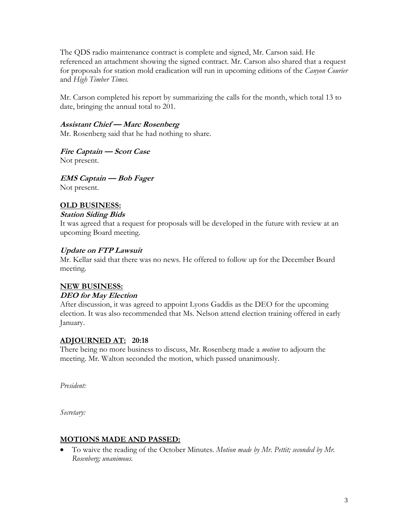The QDS radio maintenance contract is complete and signed, Mr. Carson said. He referenced an attachment showing the signed contract. Mr. Carson also shared that a request for proposals for station mold eradication will run in upcoming editions of the *Canyon Courier*  and *High Timber Times.*

Mr. Carson completed his report by summarizing the calls for the month, which total 13 to date, bringing the annual total to 201.

#### **Assistant Chief — Marc Rosenberg**

Mr. Rosenberg said that he had nothing to share.

**Fire Captain — Scott Case**

Not present.

**EMS Captain — Bob Fager** Not present.

# **OLD BUSINESS:**

#### **Station Siding Bids**

It was agreed that a request for proposals will be developed in the future with review at an upcoming Board meeting.

#### **Update on FTP Lawsuit**

Mr. Kellar said that there was no news. He offered to follow up for the December Board meeting.

# **NEW BUSINESS:**

#### **DEO for May Election**

After discussion, it was agreed to appoint Lyons Gaddis as the DEO for the upcoming election. It was also recommended that Ms. Nelson attend election training offered in early January.

#### **ADJOURNED AT: 20:18**

There being no more business to discuss, Mr. Rosenberg made a *motion* to adjourn the meeting. Mr. Walton seconded the motion, which passed unanimously.

*President:*

*Secretary:*

#### **MOTIONS MADE AND PASSED:**

 To waive the reading of the October Minutes. *Motion made by Mr. Pettit; seconded by Mr. Rosenberg; unanimous.*